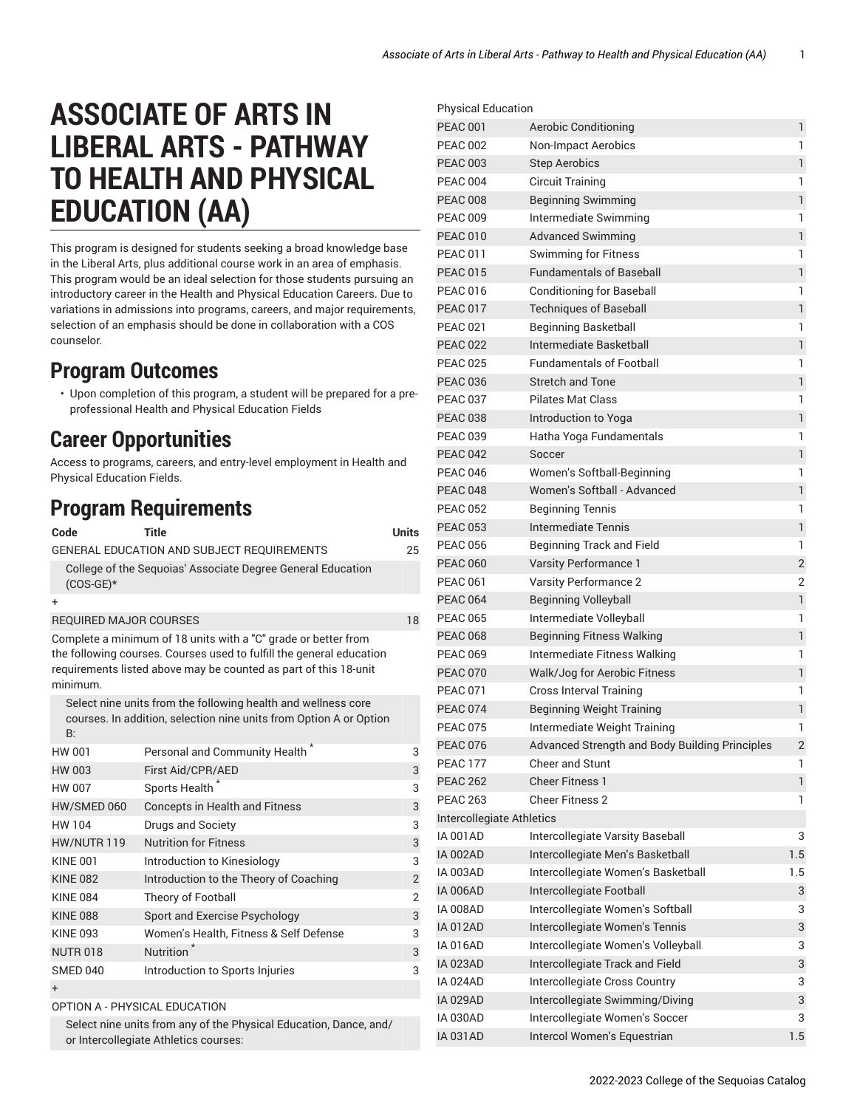## **ASSOCIATE OF ARTS IN LIBERAL ARTS - PATHWAY TO HEALTH AND PHYSICAL EDUCATION (AA)**

This program is designed for students seeking a broad knowledge base in the Liberal Arts, plus additional course work in an area of emphasis. This program would be an ideal selection for those students pursuing an introductory career in the Health and Physical Education Careers. Due to variations in admissions into programs, careers, and major requirements, selection of an emphasis should be done in collaboration with a COS counselor.

## **Program Outcomes**

• Upon completion of this program, a student will be prepared for a preprofessional Health and Physical Education Fields

## **Career Opportunities**

Access to programs, careers, and entry-level employment in Health and Physical Education Fields.

## **Program Requirements**

| Code                                                                                                                                                                                                                   | Title                                                                                                                               | <b>Units</b>   |  |
|------------------------------------------------------------------------------------------------------------------------------------------------------------------------------------------------------------------------|-------------------------------------------------------------------------------------------------------------------------------------|----------------|--|
|                                                                                                                                                                                                                        | GENERAL EDUCATION AND SUBJECT REQUIREMENTS                                                                                          | 25             |  |
| $(COS-GE)*$                                                                                                                                                                                                            | College of the Seguoias' Associate Degree General Education                                                                         |                |  |
| +                                                                                                                                                                                                                      |                                                                                                                                     |                |  |
| <b>REQUIRED MAJOR COURSES</b>                                                                                                                                                                                          |                                                                                                                                     |                |  |
| Complete a minimum of 18 units with a "C" grade or better from<br>the following courses. Courses used to fulfill the general education<br>requirements listed above may be counted as part of this 18-unit<br>minimum. |                                                                                                                                     |                |  |
| B:                                                                                                                                                                                                                     | Select nine units from the following health and wellness core<br>courses. In addition, selection nine units from Option A or Option |                |  |
| HW 001                                                                                                                                                                                                                 | Personal and Community Health                                                                                                       | 3              |  |
| HW 003                                                                                                                                                                                                                 | First Aid/CPR/AED                                                                                                                   | 3              |  |
| <b>HW 007</b>                                                                                                                                                                                                          | Sports Health <sup>*</sup>                                                                                                          | 3              |  |
| HW/SMED 060                                                                                                                                                                                                            | <b>Concepts in Health and Fitness</b>                                                                                               | 3              |  |
| HW 104                                                                                                                                                                                                                 | Drugs and Society                                                                                                                   | 3              |  |
| HW/NUTR 119                                                                                                                                                                                                            | <b>Nutrition for Fitness</b>                                                                                                        | 3              |  |
| <b>KINE 001</b>                                                                                                                                                                                                        | Introduction to Kinesiology                                                                                                         | 3              |  |
| <b>KINE 082</b>                                                                                                                                                                                                        | Introduction to the Theory of Coaching                                                                                              | $\overline{2}$ |  |
| <b>KINF 084</b>                                                                                                                                                                                                        | Theory of Football                                                                                                                  | $\overline{2}$ |  |
| <b>KINE 088</b>                                                                                                                                                                                                        | Sport and Exercise Psychology                                                                                                       | 3              |  |
| <b>KINF 093</b>                                                                                                                                                                                                        | Women's Health, Fitness & Self Defense                                                                                              | 3              |  |
| <b>NUTR 018</b>                                                                                                                                                                                                        | Nutrition <sup>2</sup>                                                                                                              | 3              |  |
| SMED 040                                                                                                                                                                                                               | Introduction to Sports Injuries                                                                                                     | 3              |  |
| $\ddot{}$                                                                                                                                                                                                              |                                                                                                                                     |                |  |
|                                                                                                                                                                                                                        |                                                                                                                                     |                |  |

OPTION A - PHYSICAL EDUCATION

Select nine units from any of the Physical Education, Dance, and/ or Intercollegiate Athletics courses:

| <b>Physical Education</b> |                                                |                |
|---------------------------|------------------------------------------------|----------------|
| <b>PEAC 001</b>           | <b>Aerobic Conditioning</b>                    | 1              |
| <b>PEAC 002</b>           | Non-Impact Aerobics                            | 1              |
| <b>PEAC 003</b>           | <b>Step Aerobics</b>                           | $\mathbf{1}$   |
| <b>PEAC 004</b>           | <b>Circuit Training</b>                        | 1              |
| <b>PEAC 008</b>           | <b>Beginning Swimming</b>                      | $\mathbf{1}$   |
| <b>PEAC 009</b>           | Intermediate Swimming                          | 1              |
| <b>PEAC 010</b>           | <b>Advanced Swimming</b>                       | $\mathbf{1}$   |
| <b>PEAC 011</b>           | <b>Swimming for Fitness</b>                    | 1              |
| <b>PEAC 015</b>           | <b>Fundamentals of Baseball</b>                | 1              |
| <b>PEAC 016</b>           | <b>Conditioning for Baseball</b>               | 1              |
| <b>PEAC 017</b>           | <b>Techniques of Baseball</b>                  | $\mathbf{1}$   |
| <b>PEAC 021</b>           | <b>Beginning Basketball</b>                    | 1              |
| <b>PEAC 022</b>           | Intermediate Basketball                        | $\mathbf{1}$   |
| <b>PEAC 025</b>           | <b>Fundamentals of Football</b>                | 1              |
| <b>PEAC 036</b>           | <b>Stretch and Tone</b>                        | $\mathbf{1}$   |
| <b>PEAC 037</b>           | <b>Pilates Mat Class</b>                       | 1              |
| <b>PEAC 038</b>           | Introduction to Yoga                           | $\mathbf{1}$   |
| <b>PEAC 039</b>           | Hatha Yoga Fundamentals                        | 1              |
| <b>PEAC 042</b>           | Soccer                                         | $\mathbf{1}$   |
| <b>PEAC 046</b>           | Women's Softball-Beginning                     | 1              |
| <b>PEAC 048</b>           | Women's Softball - Advanced                    | 1              |
| <b>PEAC 052</b>           | <b>Beginning Tennis</b>                        | 1              |
| <b>PEAC 053</b>           | <b>Intermediate Tennis</b>                     | $\mathbf{1}$   |
| <b>PEAC 056</b>           | Beginning Track and Field                      | 1              |
| <b>PEAC 060</b>           | Varsity Performance 1                          | $\overline{2}$ |
| <b>PEAC 061</b>           | <b>Varsity Performance 2</b>                   | $\overline{2}$ |
| <b>PEAC 064</b>           | <b>Beginning Volleyball</b>                    | $\mathbf{1}$   |
| <b>PEAC 065</b>           | Intermediate Volleyball                        | 1              |
| <b>PEAC 068</b>           | <b>Beginning Fitness Walking</b>               | $\mathbf{1}$   |
| <b>PEAC 069</b>           | Intermediate Fitness Walking                   | 1              |
| <b>PEAC 070</b>           | Walk/Jog for Aerobic Fitness                   | $\mathbf{1}$   |
| <b>PEAC 071</b>           | <b>Cross Interval Training</b>                 | 1              |
| <b>PEAC 074</b>           | <b>Beginning Weight Training</b>               | 1              |
| <b>PEAC 075</b>           | Intermediate Weight Training                   | 1              |
| <b>PEAC 076</b>           | Advanced Strength and Body Building Principles | $\overline{c}$ |
| <b>PEAC 177</b>           | <b>Cheer and Stunt</b>                         | 1              |
| <b>PEAC 262</b>           | <b>Cheer Fitness 1</b>                         | $\mathbf{1}$   |
| <b>PEAC 263</b>           | <b>Cheer Fitness 2</b>                         | 1              |
| Intercollegiate Athletics |                                                |                |
| <b>IA 001AD</b>           | Intercollegiate Varsity Baseball               | 3              |
| <b>IA 002AD</b>           | Intercollegiate Men's Basketball               | 1.5            |
| IA 003AD                  | Intercollegiate Women's Basketball             | 1.5            |
| <b>IA 006AD</b>           | Intercollegiate Football                       | 3              |
| <b>IA 008AD</b>           | Intercollegiate Women's Softball               | 3              |
| <b>IA 012AD</b>           | Intercollegiate Women's Tennis                 | 3              |
| <b>IA 016AD</b>           | Intercollegiate Women's Volleyball             | 3              |
| <b>IA 023AD</b>           | Intercollegiate Track and Field                | 3              |
| IA 024AD                  | Intercollegiate Cross Country                  | 3              |
| <b>IA 029AD</b>           | Intercollegiate Swimming/Diving                | 3              |
| <b>IA 030AD</b>           | Intercollegiate Women's Soccer                 | 3              |
| <b>IA 031AD</b>           | Intercol Women's Equestrian                    | 1.5            |
|                           |                                                |                |